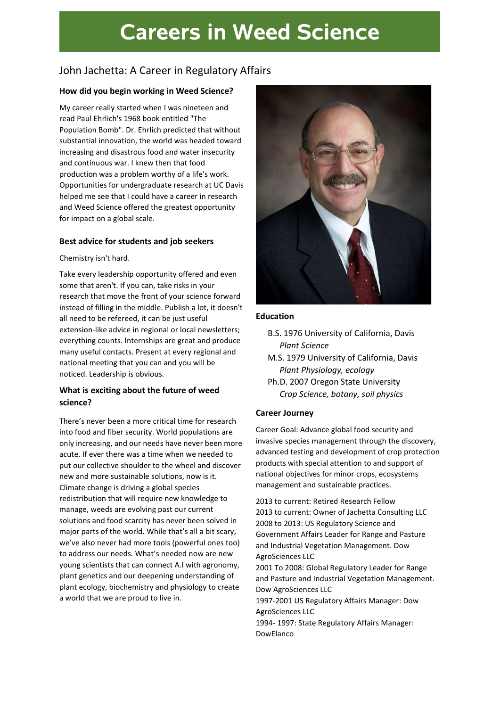# **Careers in Weed Science**

# John Jachetta: A Career in Regulatory Affairs

#### How did you begin working in Weed Science?

My career really started when I was nineteen and read Paul Ehrlich's 1968 book entitled "The Population Bomb". Dr. Ehrlich predicted that without substantial innovation, the world was headed toward increasing and disastrous food and water insecurity and continuous war. I knew then that food production was a problem worthy of a life's work. Opportunities for undergraduate research at UC Davis helped me see that I could have a career in research and Weed Science offered the greatest opportunity for impact on a global scale.

#### Best advice for students and job seekers

#### Chemistry isn't hard.

Take every leadership opportunity offered and even some that aren't. If you can, take risks in your research that move the front of your science forward instead of filling in the middle. Publish a lot, it doesn't all need to be refereed, it can be just useful extension-like advice in regional or local newsletters; everything counts. Internships are great and produce many useful contacts. Present at every regional and national meeting that you can and you will be noticed. Leadership is obvious.

### What is exciting about the future of weed science?

There's never been a more critical time for research into food and fiber security. World populations are only increasing, and our needs have never been more acute. If ever there was a time when we needed to put our collective shoulder to the wheel and discover new and more sustainable solutions, now is it. Climate change is driving a global species redistribution that will require new knowledge to manage, weeds are evolving past our current solutions and food scarcity has never been solved in major parts of the world. While that's all a bit scary, we've also never had more tools (powerful ones too) to address our needs. What's needed now are new young scientists that can connect A.I with agronomy, plant genetics and our deepening understanding of plant ecology, biochemistry and physiology to create a world that we are proud to live in.



#### Education

- B.S. 1976 University of California, Davis Plant Science
- M.S. 1979 University of California, Davis Plant Physiology, ecology
- Ph.D. 2007 Oregon State University Crop Science, botany, soil physics

#### Career Journey

Career Goal: Advance global food security and invasive species management through the discovery, advanced testing and development of crop protection products with special attention to and support of national objectives for minor crops, ecosystems management and sustainable practices.

2013 to current: Retired Research Fellow 2013 to current: Owner of Jachetta Consulting LLC 2008 to 2013: US Regulatory Science and Government Affairs Leader for Range and Pasture and Industrial Vegetation Management. Dow AgroSciences LLC

2001 To 2008: Global Regulatory Leader for Range and Pasture and Industrial Vegetation Management. Dow AgroSciences LLC

1997-2001 US Regulatory Affairs Manager: Dow AgroSciences LLC

1994- 1997: State Regulatory Affairs Manager: DowElanco